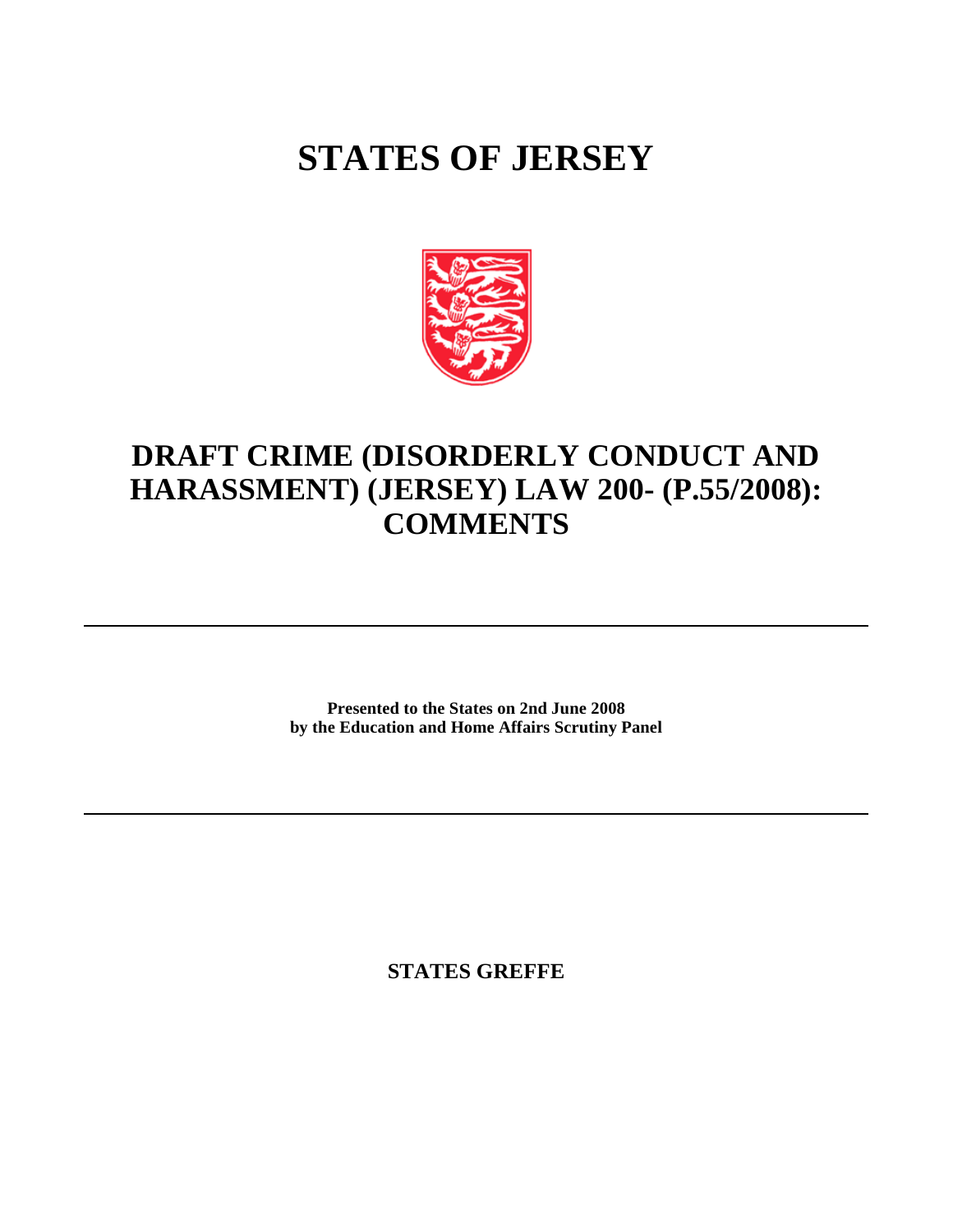## **STATES OF JERSEY**



## **DRAFT CRIME (DISORDERLY CONDUCT AND HARASSMENT) (JERSEY) LAW 200- (P.55/2008): COMMENTS**

**Presented to the States on 2nd June 2008 by the Education and Home Affairs Scrutiny Panel**

**STATES GREFFE**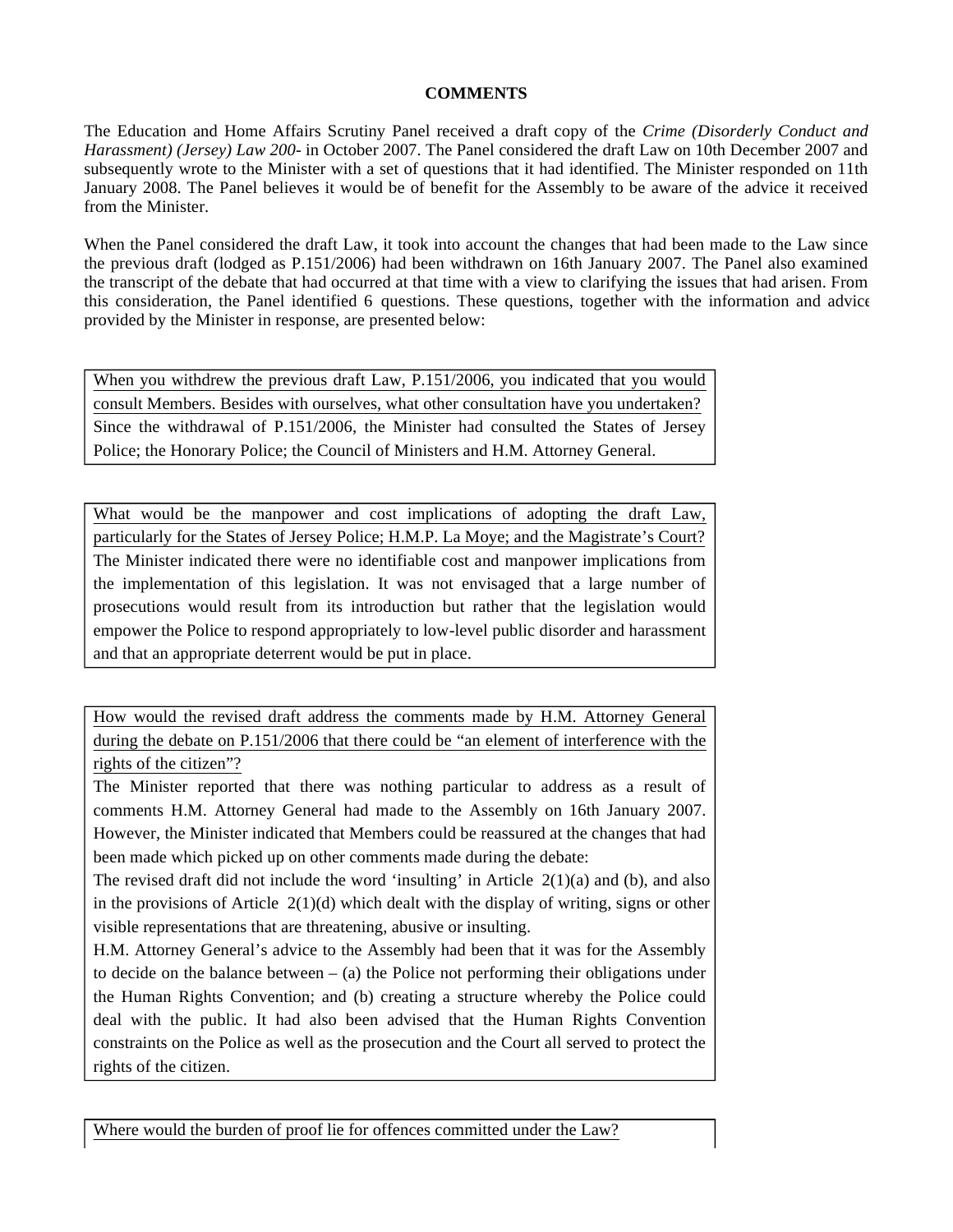## **COMMENTS**

The Education and Home Affairs Scrutiny Panel received a draft copy of the *Crime (Disorderly Conduct and Harassment) (Jersey) Law 200-* in October 2007. The Panel considered the draft Law on 10th December 2007 and subsequently wrote to the Minister with a set of questions that it had identified. The Minister responded on 11th January 2008. The Panel believes it would be of benefit for the Assembly to be aware of the advice it received from the Minister.

When the Panel considered the draft Law, it took into account the changes that had been made to the Law since the previous draft (lodged as P.151/2006) had been withdrawn on 16th January 2007. The Panel also examined the transcript of the debate that had occurred at that time with a view to clarifying the issues that had arisen. From this consideration, the Panel identified 6 questions. These questions, together with the information and advice provided by the Minister in response, are presented below:

When you withdrew the previous draft Law, P.151/2006, you indicated that you would consult Members. Besides with ourselves, what other consultation have you undertaken? Since the withdrawal of P.151/2006, the Minister had consulted the States of Jersey Police; the Honorary Police; the Council of Ministers and H.M. Attorney General.

What would be the manpower and cost implications of adopting the draft Law, particularly for the States of Jersey Police; H.M.P. La Moye; and the Magistrate's Court? The Minister indicated there were no identifiable cost and manpower implications from the implementation of this legislation. It was not envisaged that a large number of prosecutions would result from its introduction but rather that the legislation would empower the Police to respond appropriately to low-level public disorder and harassment and that an appropriate deterrent would be put in place.

How would the revised draft address the comments made by H.M. Attorney General during the debate on P.151/2006 that there could be "an element of interference with the rights of the citizen"?

The Minister reported that there was nothing particular to address as a result of comments H.M. Attorney General had made to the Assembly on 16th January 2007. However, the Minister indicated that Members could be reassured at the changes that had been made which picked up on other comments made during the debate:

The revised draft did not include the word 'insulting' in Article  $2(1)(a)$  and (b), and also in the provisions of Article  $2(1)(d)$  which dealt with the display of writing, signs or other visible representations that are threatening, abusive or insulting.

H.M. Attorney General's advice to the Assembly had been that it was for the Assembly to decide on the balance between  $-$  (a) the Police not performing their obligations under the Human Rights Convention; and (b) creating a structure whereby the Police could deal with the public. It had also been advised that the Human Rights Convention constraints on the Police as well as the prosecution and the Court all served to protect the rights of the citizen.

Where would the burden of proof lie for offences committed under the Law?